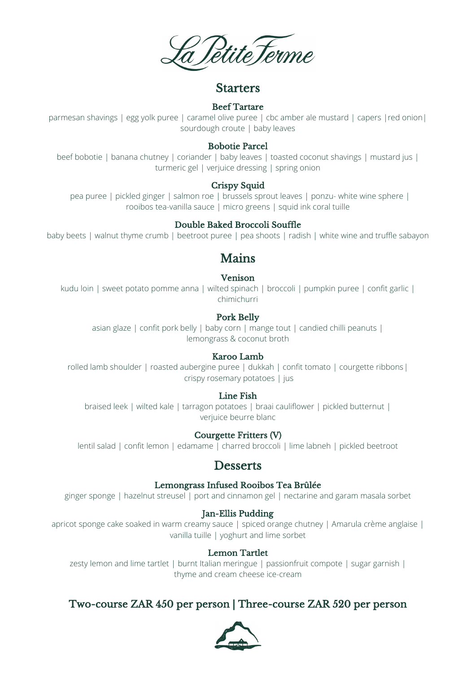PetiteTerme

## Starters

#### Beef Tartare

parmesan shavings | egg yolk puree | caramel olive puree | cbc amber ale mustard | capers | red onion| sourdough croute | baby leaves

#### Bobotie Parcel

beef bobotie | banana chutney | coriander | baby leaves | toasted coconut shavings | mustard jus | turmeric gel | verjuice dressing | spring onion

## Crispy Squid

pea puree | pickled ginger | salmon roe | brussels sprout leaves | ponzu- white wine sphere | rooibos tea-vanilla sauce | micro greens | squid ink coral tuille

## Double Baked Broccoli Souffle

baby beets | walnut thyme crumb | beetroot puree | pea shoots | radish | white wine and truffle sabayon

# Mains

### Venison

kudu loin | sweet potato pomme anna | wilted spinach | broccoli | pumpkin puree | confit garlic | chimichurri

## Pork Belly

asian glaze | confit pork belly | baby corn | mange tout | candied chilli peanuts | lemongrass & coconut broth

#### Karoo Lamb

rolled lamb shoulder | roasted aubergine puree | dukkah | confit tomato | courgette ribbons| crispy rosemary potatoes | jus

#### Line Fish

braised leek | wilted kale | tarragon potatoes | braai cauliflower | pickled butternut | verjuice beurre blanc

#### Courgette Fritters (V)

lentil salad | confit lemon | edamame | charred broccoli | lime labneh | pickled beetroot

# **Desserts**

#### Lemongrass Infused Rooibos Tea Brûlée

ginger sponge | hazelnut streusel | port and cinnamon gel | nectarine and garam masala sorbet

#### Jan-Ellis Pudding

apricot sponge cake soaked in warm creamy sauce | spiced orange chutney | Amarula crème anglaise | vanilla tuille | yoghurt and lime sorbet

#### Lemon Tartlet

zesty lemon and lime tartlet | burnt Italian meringue | passionfruit compote | sugar garnish | thyme and cream cheese ice-cream

# Two-course ZAR 450 per person | Three-course ZAR 520 per person